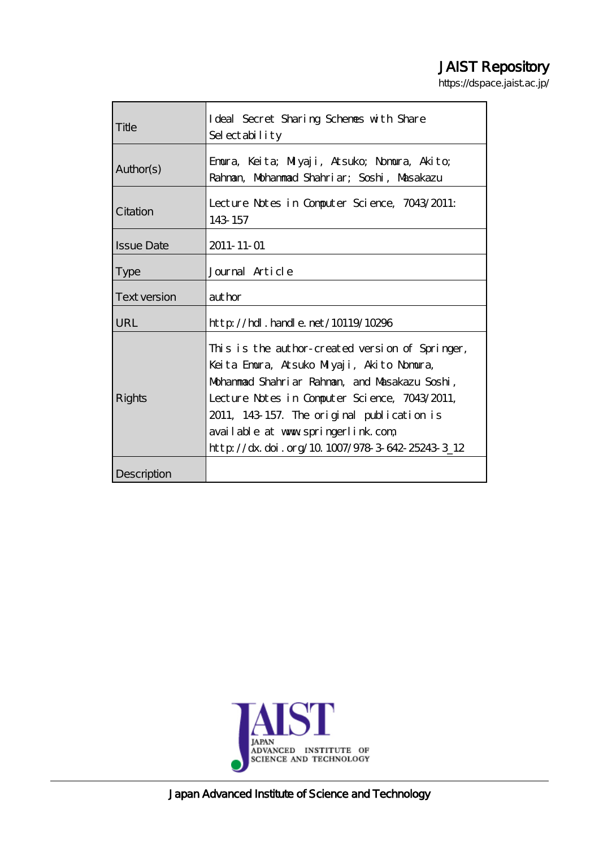# JAIST Repository

https://dspace.jaist.ac.jp/

| Title               | I deal Secret Sharing Schenes with Share<br>Selectability                                                                                                                                                                                                                                                                            |
|---------------------|--------------------------------------------------------------------------------------------------------------------------------------------------------------------------------------------------------------------------------------------------------------------------------------------------------------------------------------|
| Author(s)           | Emura, Keita; Milyaji, Atsuko; Nomura, Akito;<br>Rahnan, Mohanmad Shahriar; Soshi, Masakazu                                                                                                                                                                                                                                          |
| Citation            | Lecture Notes in Computer Science, 7043/2011:<br>143 157                                                                                                                                                                                                                                                                             |
| <b>Issue Date</b>   | 2011-11-01                                                                                                                                                                                                                                                                                                                           |
| <b>Type</b>         | Journal Article                                                                                                                                                                                                                                                                                                                      |
| <b>Text version</b> | author                                                                                                                                                                                                                                                                                                                               |
| URL                 | http://hdl.handle.net/10119/10296                                                                                                                                                                                                                                                                                                    |
| Rights              | This is the author-created version of Springer,<br>Keita Emura, Atsuko Milyaji, Akito Nomura,<br>Mohanmad Shahriar Rahnan, and Masakazu Soshi,<br>Lecture Notes in Computer Science, 7043/2011,<br>2011, 143-157. The original publication is<br>available at www.springerlink.com<br>http://dx.doi.org/10.1007/978-3-642-25243-3_12 |
| Description         |                                                                                                                                                                                                                                                                                                                                      |



Japan Advanced Institute of Science and Technology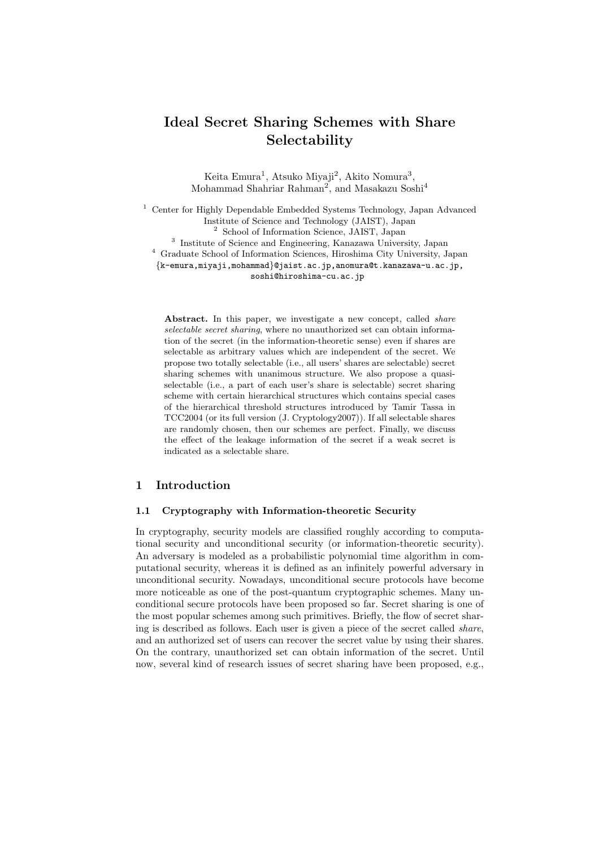# **Ideal Secret Sharing Schemes with Share Selectability**

Keita Emura<sup>1</sup>, Atsuko Miyaji<sup>2</sup>, Akito Nomura<sup>3</sup>, Mohammad Shahriar Rahman<sup>2</sup>, and Masakazu Soshi<sup>4</sup>

<sup>1</sup> Center for Highly Dependable Embedded Systems Technology, Japan Advanced Institute of Science and Technology (JAIST), Japan <sup>2</sup> School of Information Science, JAIST, Japan 3 Institute of Science and Engineering, Kanazawa University, Japan  $^4\,$  Graduate School of Information Sciences, Hiroshima City University, Japan *{*k-emura,miyaji,mohammad*}*@jaist.ac.jp,anomura@t.kanazawa-u.ac.jp, soshi@hiroshima-cu.ac.jp

**Abstract.** In this paper, we investigate a new concept, called *share selectable secret sharing*, where no unauthorized set can obtain information of the secret (in the information-theoretic sense) even if shares are selectable as arbitrary values which are independent of the secret. We propose two totally selectable (i.e., all users' shares are selectable) secret sharing schemes with unanimous structure. We also propose a quasiselectable (i.e., a part of each user's share is selectable) secret sharing scheme with certain hierarchical structures which contains special cases of the hierarchical threshold structures introduced by Tamir Tassa in TCC2004 (or its full version (J. Cryptology2007)). If all selectable shares are randomly chosen, then our schemes are perfect. Finally, we discuss the effect of the leakage information of the secret if a weak secret is indicated as a selectable share.

# **1 Introduction**

#### **1.1 Cryptography with Information-theoretic Security**

In cryptography, security models are classified roughly according to computational security and unconditional security (or information-theoretic security). An adversary is modeled as a probabilistic polynomial time algorithm in computational security, whereas it is defined as an infinitely powerful adversary in unconditional security. Nowadays, unconditional secure protocols have become more noticeable as one of the post-quantum cryptographic schemes. Many unconditional secure protocols have been proposed so far. Secret sharing is one of the most popular schemes among such primitives. Briefly, the flow of secret sharing is described as follows. Each user is given a piece of the secret called *share*, and an authorized set of users can recover the secret value by using their shares. On the contrary, unauthorized set can obtain information of the secret. Until now, several kind of research issues of secret sharing have been proposed, e.g.,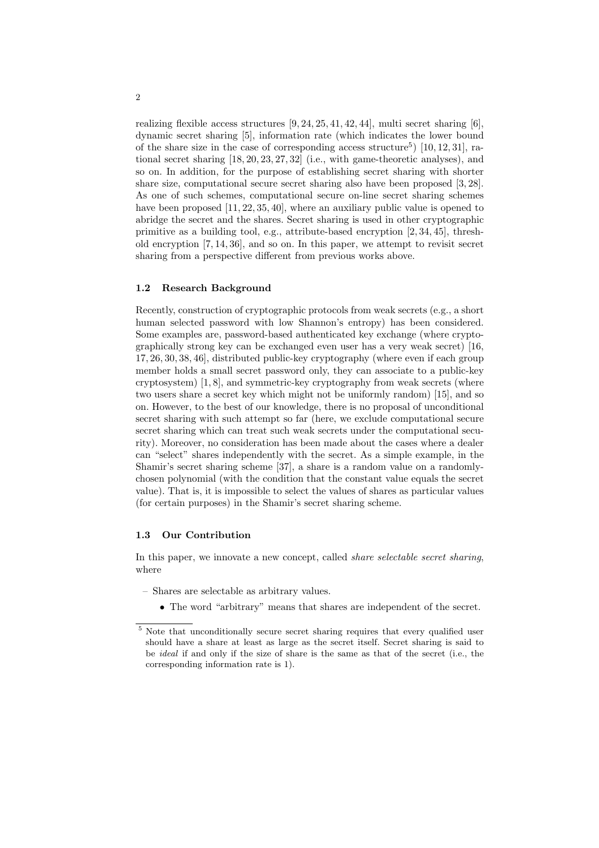realizing flexible access structures  $[9, 24, 25, 41, 42, 44]$ , multi secret sharing  $[6]$ , dynamic secret sharing [5], information rate (which indicates the lower bound of the share size in the case of corresponding access structure<sup>5</sup>)  $[10, 12, 31]$ , rational secret sharing [18, 20, 23, 27, 32] (i.e., with game-theoretic analyses), and so on. In addition, for the purpose of establishing secret sharing with shorter share size, computational secure secret sharing also have been proposed [3, 28]. As one of such schemes, computational secure on-line secret sharing schemes have been proposed [11, 22, 35, 40], where an auxiliary public value is opened to abridge the secret and the shares. Secret sharing is used in other cryptographic primitive as a building tool, e.g., attribute-based encryption [2, 34, 45], threshold encryption [7, 14, 36], and so on. In this paper, we attempt to revisit secret sharing from a perspective different from previous works above.

#### **1.2 Research Background**

Recently, construction of cryptographic protocols from weak secrets (e.g., a short human selected password with low Shannon's entropy) has been considered. Some examples are, password-based authenticated key exchange (where cryptographically strong key can be exchanged even user has a very weak secret) [16, 17, 26, 30, 38, 46], distributed public-key cryptography (where even if each group member holds a small secret password only, they can associate to a public-key cryptosystem) [1, 8], and symmetric-key cryptography from weak secrets (where two users share a secret key which might not be uniformly random) [15], and so on. However, to the best of our knowledge, there is no proposal of unconditional secret sharing with such attempt so far (here, we exclude computational secure secret sharing which can treat such weak secrets under the computational security). Moreover, no consideration has been made about the cases where a dealer can "select" shares independently with the secret. As a simple example, in the Shamir's secret sharing scheme [37], a share is a random value on a randomlychosen polynomial (with the condition that the constant value equals the secret value). That is, it is impossible to select the values of shares as particular values (for certain purposes) in the Shamir's secret sharing scheme.

# **1.3 Our Contribution**

In this paper, we innovate a new concept, called *share selectable secret sharing*, where

- Shares are selectable as arbitrary values.
	- The word "arbitrary" means that shares are independent of the secret.

<sup>&</sup>lt;sup>5</sup> Note that unconditionally secure secret sharing requires that every qualified user should have a share at least as large as the secret itself. Secret sharing is said to be *ideal* if and only if the size of share is the same as that of the secret (i.e., the corresponding information rate is 1).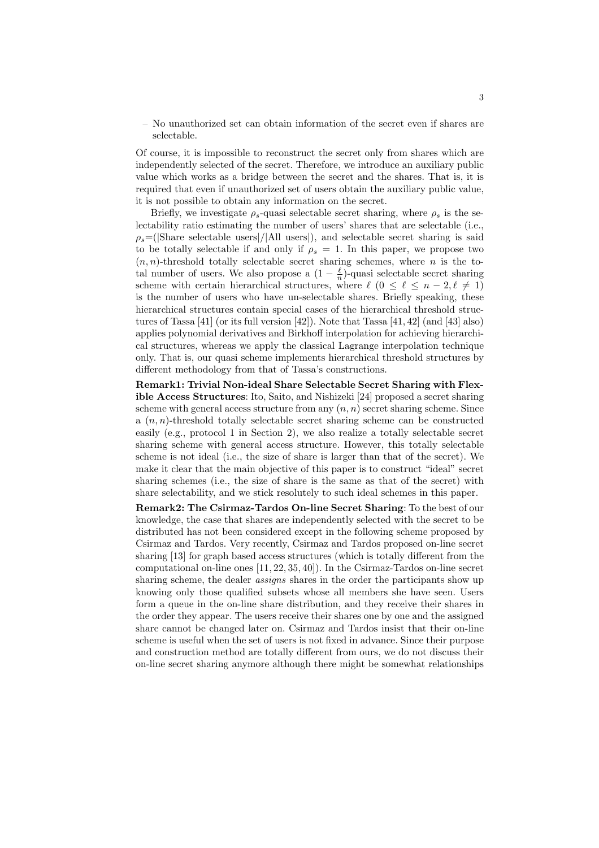– No unauthorized set can obtain information of the secret even if shares are selectable.

Of course, it is impossible to reconstruct the secret only from shares which are independently selected of the secret. Therefore, we introduce an auxiliary public value which works as a bridge between the secret and the shares. That is, it is required that even if unauthorized set of users obtain the auxiliary public value, it is not possible to obtain any information on the secret.

Briefly, we investigate  $\rho_s$ -quasi selectable secret sharing, where  $\rho_s$  is the selectability ratio estimating the number of users' shares that are selectable (i.e., *ρs*=(*|*Share selectable users*|*/*|*All users*|*), and selectable secret sharing is said to be totally selectable if and only if  $\rho_s = 1$ . In this paper, we propose two  $(n, n)$ -threshold totally selectable secret sharing schemes, where *n* is the total number of users. We also propose a  $(1 - \frac{\ell}{n})$ -quasi selectable secret sharing scheme with certain hierarchical structures, where  $\ell$  ( $0 \leq \ell \leq n-2, \ell \neq 1$ ) is the number of users who have un-selectable shares. Briefly speaking, these hierarchical structures contain special cases of the hierarchical threshold structures of Tassa [41] (or its full version [42]). Note that Tassa [41, 42] (and [43] also) applies polynomial derivatives and Birkhoff interpolation for achieving hierarchical structures, whereas we apply the classical Lagrange interpolation technique only. That is, our quasi scheme implements hierarchical threshold structures by different methodology from that of Tassa's constructions.

**Remark1: Trivial Non-ideal Share Selectable Secret Sharing with Flexible Access Structures**: Ito, Saito, and Nishizeki [24] proposed a secret sharing scheme with general access structure from any (*n, n*) secret sharing scheme. Since a (*n, n*)-threshold totally selectable secret sharing scheme can be constructed easily (e.g., protocol 1 in Section 2), we also realize a totally selectable secret sharing scheme with general access structure. However, this totally selectable scheme is not ideal (i.e., the size of share is larger than that of the secret). We make it clear that the main objective of this paper is to construct "ideal" secret sharing schemes (i.e., the size of share is the same as that of the secret) with share selectability, and we stick resolutely to such ideal schemes in this paper.

**Remark2: The Csirmaz-Tardos On-line Secret Sharing**: To the best of our knowledge, the case that shares are independently selected with the secret to be distributed has not been considered except in the following scheme proposed by Csirmaz and Tardos. Very recently, Csirmaz and Tardos proposed on-line secret sharing [13] for graph based access structures (which is totally different from the computational on-line ones [11, 22, 35, 40]). In the Csirmaz-Tardos on-line secret sharing scheme, the dealer *assigns* shares in the order the participants show up knowing only those qualified subsets whose all members she have seen. Users form a queue in the on-line share distribution, and they receive their shares in the order they appear. The users receive their shares one by one and the assigned share cannot be changed later on. Csirmaz and Tardos insist that their on-line scheme is useful when the set of users is not fixed in advance. Since their purpose and construction method are totally different from ours, we do not discuss their on-line secret sharing anymore although there might be somewhat relationships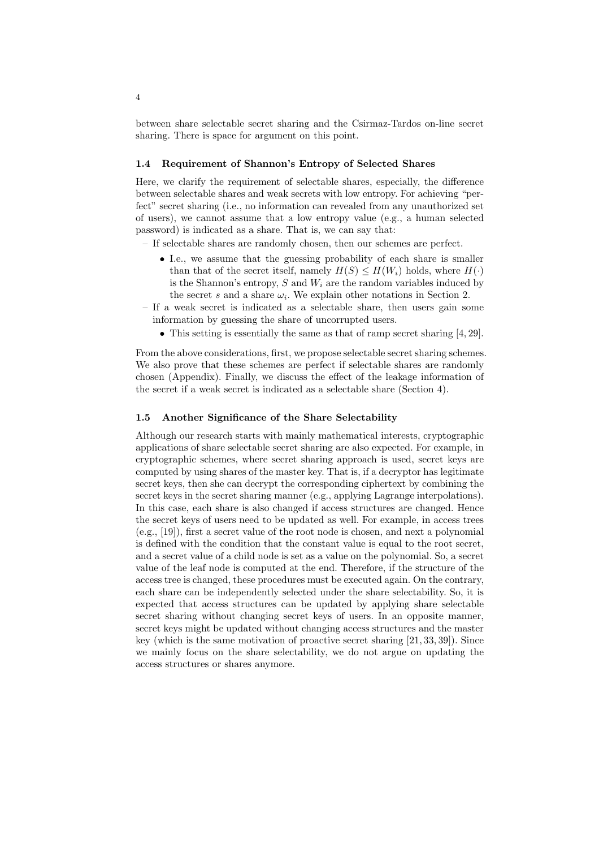between share selectable secret sharing and the Csirmaz-Tardos on-line secret sharing. There is space for argument on this point.

#### **1.4 Requirement of Shannon's Entropy of Selected Shares**

Here, we clarify the requirement of selectable shares, especially, the difference between selectable shares and weak secrets with low entropy. For achieving "perfect" secret sharing (i.e., no information can revealed from any unauthorized set of users), we cannot assume that a low entropy value (e.g., a human selected password) is indicated as a share. That is, we can say that:

- If selectable shares are randomly chosen, then our schemes are perfect.
	- *•* I.e., we assume that the guessing probability of each share is smaller than that of the secret itself, namely  $H(S) \leq H(W_i)$  holds, where  $H(\cdot)$ is the Shannon's entropy,  $S$  and  $W_i$  are the random variables induced by the secret  $s$  and a share  $\omega_i$ . We explain other notations in Section 2.
- If a weak secret is indicated as a selectable share, then users gain some information by guessing the share of uncorrupted users.
	- This setting is essentially the same as that of ramp secret sharing [4, 29].

From the above considerations, first, we propose selectable secret sharing schemes. We also prove that these schemes are perfect if selectable shares are randomly chosen (Appendix). Finally, we discuss the effect of the leakage information of the secret if a weak secret is indicated as a selectable share (Section 4).

#### **1.5 Another Significance of the Share Selectability**

Although our research starts with mainly mathematical interests, cryptographic applications of share selectable secret sharing are also expected. For example, in cryptographic schemes, where secret sharing approach is used, secret keys are computed by using shares of the master key. That is, if a decryptor has legitimate secret keys, then she can decrypt the corresponding ciphertext by combining the secret keys in the secret sharing manner (e.g., applying Lagrange interpolations). In this case, each share is also changed if access structures are changed. Hence the secret keys of users need to be updated as well. For example, in access trees (e.g., [19]), first a secret value of the root node is chosen, and next a polynomial is defined with the condition that the constant value is equal to the root secret, and a secret value of a child node is set as a value on the polynomial. So, a secret value of the leaf node is computed at the end. Therefore, if the structure of the access tree is changed, these procedures must be executed again. On the contrary, each share can be independently selected under the share selectability. So, it is expected that access structures can be updated by applying share selectable secret sharing without changing secret keys of users. In an opposite manner, secret keys might be updated without changing access structures and the master key (which is the same motivation of proactive secret sharing [21, 33, 39]). Since we mainly focus on the share selectability, we do not argue on updating the access structures or shares anymore.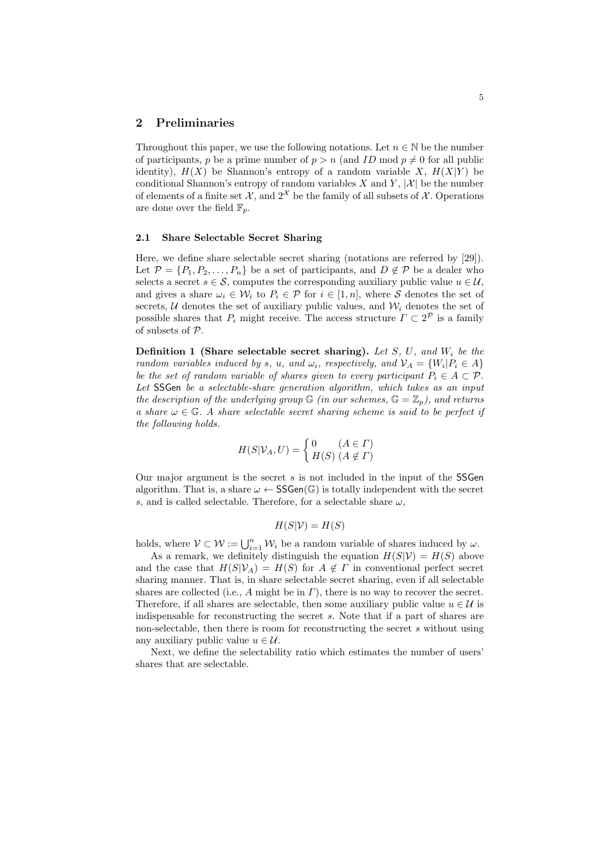# **2 Preliminaries**

Throughout this paper, we use the following notations. Let  $n \in \mathbb{N}$  be the number of participants, *p* be a prime number of  $p > n$  (and *ID* mod  $p \neq 0$  for all public identity),  $H(X)$  be Shannon's entropy of a random variable X,  $H(X|Y)$  be conditional Shannon's entropy of random variables  $X$  and  $Y$ ,  $|X|$  be the number of elements of a finite set  $\mathcal{X}$ , and  $2^{\mathcal{X}}$  be the family of all subsets of  $\mathcal{X}$ . Operations are done over the field  $\mathbb{F}_p$ .

#### **2.1 Share Selectable Secret Sharing**

Here, we define share selectable secret sharing (notations are referred by [29]). Let  $\mathcal{P} = \{P_1, P_2, \ldots, P_n\}$  be a set of participants, and  $D \notin \mathcal{P}$  be a dealer who selects a secret  $s \in \mathcal{S}$ , computes the corresponding auxiliary public value  $u \in \mathcal{U}$ , and gives a share  $\omega_i \in \mathcal{W}_i$  to  $P_i \in \mathcal{P}$  for  $i \in [1, n]$ , where *S* denotes the set of secrets,  $U$  denotes the set of auxiliary public values, and  $W_i$  denotes the set of possible shares that  $P_i$  might receive. The access structure  $\Gamma \subset 2^{\mathcal{P}}$  is a family of subsets of *P*.

**Definition 1 (Share selectable secret sharing).** *Let S, U, and W<sup>i</sup> be the random variables induced by <i>s*, *u*, and  $\omega_i$ , respectively, and  $\mathcal{V}_A = \{W_i | P_i \in A\}$ *be the set of random variable of shares given to every participant*  $P_i \in A \subset \mathcal{P}$ *. Let* SSGen *be a selectable-share generation algorithm, which takes as an input the description of the underlying group*  $\mathbb{G}$  *(in our schemes,*  $\mathbb{G} = \mathbb{Z}_p$ *), and returns a* share  $\omega \in \mathbb{G}$ . A share selectable secret sharing scheme is said to be perfect if *the following holds.*

$$
H(S|{\mathcal{V}}_A,U)=\left\{\begin{matrix} 0 & (A \in \varGamma) \\ H(S) \ (A \not\in \varGamma) \end{matrix}\right.
$$

Our major argument is the secret *s* is not included in the input of the SSGen algorithm. That is, a share  $\omega \leftarrow \mathsf{SSGen}(\mathbb{G})$  is totally independent with the secret *s*, and is called selectable. Therefore, for a selectable share  $\omega$ ,

$$
H(S|\mathcal{V}) = H(S)
$$

holds, where  $V \subset \mathcal{W} := \bigcup_{i=1}^n \mathcal{W}_i$  be a random variable of shares induced by  $\omega$ .

As a remark, we definitely distinguish the equation  $H(S|V) = H(S)$  above and the case that  $H(S|V_A) = H(S)$  for  $A \notin \Gamma$  in conventional perfect secret sharing manner. That is, in share selectable secret sharing, even if all selectable shares are collected (i.e.,  $A$  might be in  $\Gamma$ ), there is no way to recover the secret. Therefore, if all shares are selectable, then some auxiliary public value  $u \in \mathcal{U}$  is indispensable for reconstructing the secret *s*. Note that if a part of shares are non-selectable, then there is room for reconstructing the secret *s* without using any auxiliary public value  $u \in \mathcal{U}$ .

Next, we define the selectability ratio which estimates the number of users' shares that are selectable.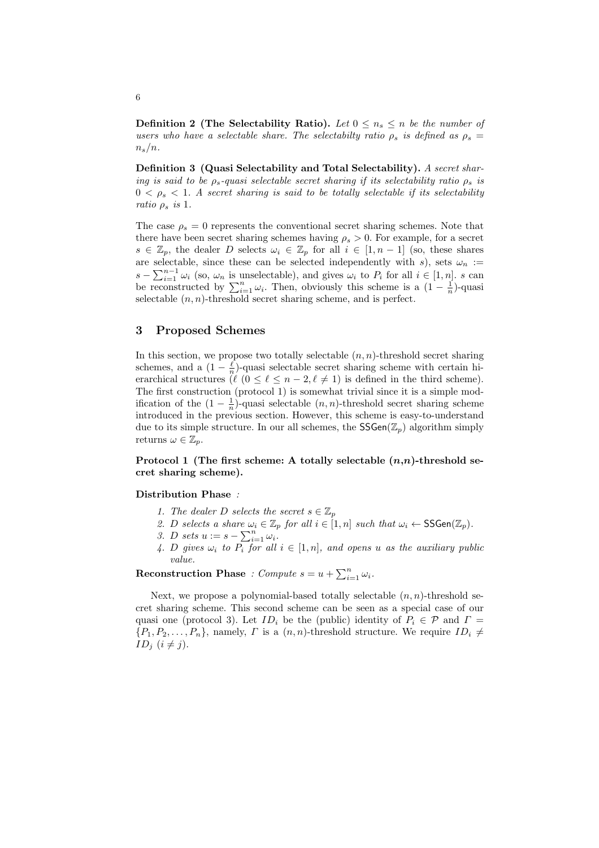**Definition 2 (The Selectability Ratio).** Let  $0 \leq n_s \leq n$  be the number of *users who have a selectable share. The selectabilty ratio*  $\rho_s$  *is defined as*  $\rho_s$  =  $n_s/n$ .

**Definition 3 (Quasi Selectability and Total Selectability).** *A secret sharing is said to be*  $\rho_s$ -quasi selectable secret sharing if its selectability ratio  $\rho_s$  *is*  $0 < \rho_s < 1$ . A secret sharing is said to be totally selectable if its selectability *ratio*  $\rho_s$  *is* 1.

The case  $\rho_s = 0$  represents the conventional secret sharing schemes. Note that there have been secret sharing schemes having  $\rho_s > 0$ . For example, for a secret  $s \in \mathbb{Z}_p$ , the dealer *D* selects  $\omega_i \in \mathbb{Z}_p$  for all  $i \in [1, n-1]$  (so, these shares are selectable, since these can be selected independently with *s*), sets  $\omega_n$  := *s* −  $\sum_{i=1}^{n-1}$  *ω*<sub>*i*</sub> (so, *ω*<sub>*n*</sub> is unselectable), and gives *ω*<sub>*i*</sub> to *P*<sub>*i*</sub> for all *i* ∈ [1*, n*]. *s* can be reconstructed by  $\sum_{i=1}^{n} \omega_i$ . Then, obviously this scheme is a  $(1 - \frac{1}{n})$ -quasi selectable  $(n, n)$ -threshold secret sharing scheme, and is perfect.

# **3 Proposed Schemes**

In this section, we propose two totally selectable (*n, n*)-threshold secret sharing schemes, and a  $(1 - \frac{\ell}{n})$ -quasi selectable secret sharing scheme with certain hierarchical structures  $(\ell \ (0 \leq \ell \leq n-2, \ell \neq 1)$  is defined in the third scheme). The first construction (protocol 1) is somewhat trivial since it is a simple modification of the  $(1 - \frac{1}{n})$ -quasi selectable  $(n, n)$ -threshold secret sharing scheme introduced in the previous section. However, this scheme is easy-to-understand due to its simple structure. In our all schemes, the  $SSGen(\mathbb{Z}_p)$  algorithm simply returns  $\omega \in \mathbb{Z}_n$ .

# **Protocol 1 (The first scheme: A totally selectable (***n***,***n***)-threshold secret sharing scheme).**

#### **Distribution Phase** *:*

- *1. The dealer D selects the secret*  $s \in \mathbb{Z}_p$
- 2. *D* selects a share  $\omega_i \in \mathbb{Z}_p$  for all  $i \in [1, n]$  such that  $\omega_i \leftarrow \text{SSGen}(\mathbb{Z}_p)$ .
- *3. D sets*  $u := s \sum_{i=1}^{n} \omega_i^{\prime}$ .
- *4. D* gives  $\omega_i$  to  $P_i$  for all  $i \in [1, n]$ , and opens *u* as the auxiliary public *value.*

**Reconstruction Phase** *: Compute*  $s = u + \sum_{i=1}^{n} \omega_i$ *.* 

Next, we propose a polynomial-based totally selectable  $(n, n)$ -threshold secret sharing scheme. This second scheme can be seen as a special case of our quasi one (protocol 3). Let  $ID_i$  be the (public) identity of  $P_i \in \mathcal{P}$  and  $\Gamma =$  $\{P_1, P_2, \ldots, P_n\}$ , namely, *Γ* is a  $(n, n)$ -threshold structure. We require  $ID_i \neq$ *ID<sub>j</sub>*  $(i \neq j)$ .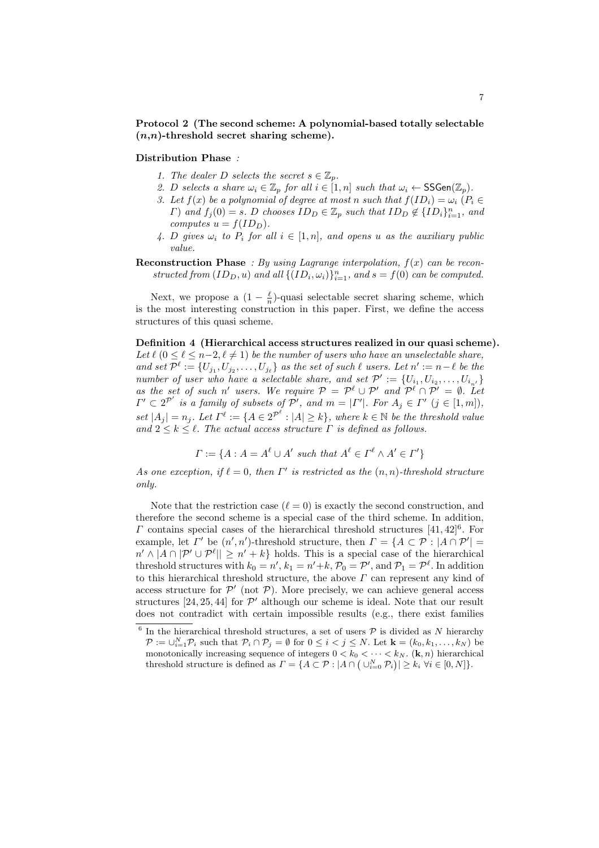**Protocol 2 (The second scheme: A polynomial-based totally selectable (***n***,***n***)-threshold secret sharing scheme).**

#### **Distribution Phase** *:*

- *1. The dealer D selects the secret*  $s \in \mathbb{Z}_p$ *.*
- *2. D selects a share*  $\omega_i \in \mathbb{Z}_p$  *for all*  $i \in [1, n]$  *such that*  $\omega_i \leftarrow \text{SSGen}(\mathbb{Z}_p)$ *.*
- *3. Let*  $f(x)$  *be a polynomial of degree at most n such that*  $f(ID_i) = \omega_i (P_i \in$  $\Gamma$ ) and  $f_j(0) = s$ . D chooses  $ID_D \in \mathbb{Z}_p$  such that  $ID_D \notin \{ID_i\}_{i=1}^n$ , and *computes*  $u = f(ID_D)$ *.*
- *4. D gives*  $\omega_i$  *to*  $P_i$  *for all*  $i \in [1, n]$ *, and opens u as the auxiliary public value.*
- **Reconstruction Phase** *: By using Lagrange interpolation, f*(*x*) *can be reconstructed from*  $(ID_D, u)$  *and all*  $\{(ID_i, \omega_i)\}_{i=1}^n$ *, and*  $s = f(0)$  *can be computed.*

Next, we propose a  $(1 - \frac{\ell}{n})$ -quasi selectable secret sharing scheme, which is the most interesting construction in this paper. First, we define the access structures of this quasi scheme.

**Definition 4 (Hierarchical access structures realized in our quasi scheme).** *Let*  $\ell$   $(0 \leq \ell \leq n-2, \ell \neq 1)$  *be the number of users who have an unselectable share,* and set  $\mathcal{P}^{\ell} := \{U_{j_1}, U_{j_2}, \ldots, U_{j_{\ell}}\}$  as the set of such  $\ell$  users. Let  $n' := n - \ell$  be the *number of user who have a selectable share, and set*  $\mathcal{P}' := \{U_{i_1}, U_{i_2}, \ldots, U_{i_{n'}}\}$ *as the set of such n' users.* We require  $P = P^{\ell} \cup P'$  *and*  $P^{\ell} \cap P' = \emptyset$ *. Let*  $\Gamma' \subset 2^{\mathcal{P}'}$  is a family of subsets of  $\mathcal{P}'$ , and  $m = |\Gamma'|$ . For  $A_j \in \Gamma'$   $(j \in [1,m])$ , set  $|A_j| = n_j$ . Let  $\Gamma^{\ell} := \{ A \in 2^{\mathcal{P}^{\ell}} : |A| \geq k \}$ , where  $k \in \mathbb{N}$  be the threshold value *and*  $2 \leq k \leq \ell$ . The actual access structure  $\Gamma$  is defined as follows.

$$
\Gamma := \{ A : A = A^{\ell} \cup A' \text{ such that } A^{\ell} \in \Gamma^{\ell} \land A' \in \Gamma' \}
$$

*As one exception, if*  $\ell = 0$ *, then*  $\Gamma'$  *is restricted as the*  $(n, n)$ *-threshold structure only.*

Note that the restriction case  $(\ell = 0)$  is exactly the second construction, and therefore the second scheme is a special case of the third scheme. In addition, *Γ* contains special cases of the hierarchical threshold structures  $[41, 42]$ <sup>6</sup>. For example, let *Γ'* be  $(n', n')$ -threshold structure, then  $\Gamma = \{A \subset \mathcal{P} : |A \cap \mathcal{P}'| =$  $n' \wedge |A \cap |\mathcal{P}' \cup \mathcal{P}^{\ell}| \geq n' + k$  holds. This is a special case of the hierarchical threshold structures with  $k_0 = n'$ ,  $k_1 = n' + k$ ,  $\mathcal{P}_0 = \mathcal{P}'$ , and  $\mathcal{P}_1 = \mathcal{P}^{\ell}$ . In addition to this hierarchical threshold structure, the above *Γ* can represent any kind of access structure for  $\mathcal{P}'$  (not  $\mathcal{P}$ ). More precisely, we can achieve general access structures [24, 25, 44] for *P ′* although our scheme is ideal. Note that our result does not contradict with certain impossible results (e.g., there exist families

 $6$  In the hierarchical threshold structures, a set of users  $P$  is divided as  $N$  hierarchy  $\mathcal{P} := \bigcup_{i=1}^N \mathcal{P}_i$  such that  $\mathcal{P}_i \cap \mathcal{P}_j = \emptyset$  for  $0 \leq i < j \leq N$ . Let  $\mathbf{k} = (k_0, k_1, \ldots, k_N)$  be monotonically increasing sequence of integers  $0 < k_0 < \cdots < k_N$ . (k, n) hierarchical threshold structure is defined as  $\Gamma = \{A \subset \mathcal{P} : |A \cap (\bigcup_{i=0}^{N} \mathcal{P}_i)| \geq k_i \ \forall i \in [0, N]\}.$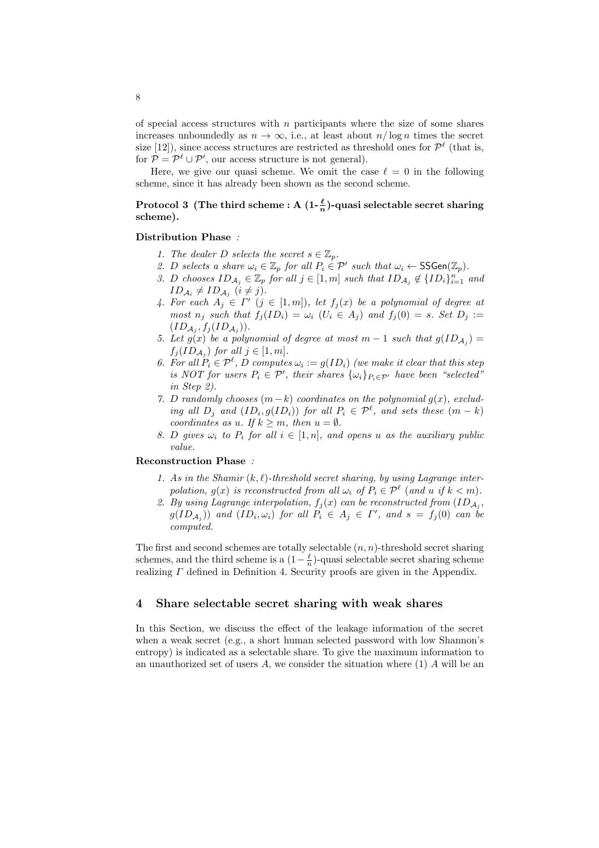of special access structures with *n* participants where the size of some shares increases unboundedly as  $n \to \infty$ , i.e., at least about  $n/\log n$  times the secret size [12]), since access structures are restricted as threshold ones for  $\mathcal{P}^{\ell}$  (that is, for  $P = P^{\ell} \cup P'$ , our access structure is not general).

Here, we give our quasi scheme. We omit the case  $\ell = 0$  in the following scheme, since it has already been shown as the second scheme.

# **Protocol 3** (The third scheme : A  $(1-\frac{\ell}{n})$ -quasi selectable secret sharing **scheme).**

#### **Distribution Phase** *:*

- *1. The dealer D selects the secret*  $s \in \mathbb{Z}_p$ *.*
- *2. D selects a share*  $\omega_i \in \mathbb{Z}_p$  *for all*  $P_i \in \mathcal{P}'$  *such that*  $\omega_i \leftarrow \text{SSGen}(\mathbb{Z}_p)$ *.*
- 3. D chooses  $ID_{\mathcal{A}_j} \in \mathbb{Z}_p$  for all  $j \in [1, m]$  such that  $ID_{\mathcal{A}_j} \notin \{ID_i\}_{i=1}^n$  and  $ID_{\mathcal{A}_i} \neq ID_{\mathcal{A}_j} \ (i \neq j).$
- *4. For each*  $A_j \in \Gamma'$   $(j \in [1, m])$ *, let*  $f_j(x)$  *be a polynomial of degree at most*  $n_j$  *such that*  $f_j(ID_i) = \omega_i$  ( $U_i \in A_j$ ) *and*  $f_j(0) = s$ *. Set*  $D_j :=$  $(ID_{\mathcal{A}_j}, f_j(ID_{\mathcal{A}_j})].$
- *5. Let*  $g(x)$  *be a polynomial of degree at most*  $m-1$  *such that*  $g(ID_{\mathcal{A}_j}) =$  $f_j(ID_{\mathcal{A}_j})$  *for all*  $j \in [1, m]$ *.*
- *6. For all*  $P_i \in \mathcal{P}^{\ell}$ , *D* computes  $\omega_i := g(ID_i)$  (we make it clear that this step *is NOT for users*  $P_i \in \mathcal{P}'$ , *their shares*  $\{\omega_i\}_{P_i \in \mathcal{P}'}$  *have been "selected" in Step 2).*
- *7. D randomly chooses* (*m−k*) *coordinates on the polynomial g*(*x*)*, excluding all*  $D_j$  *and*  $(ID_i, g(ID_i))$  *for all*  $P_i \in \mathcal{P}^{\ell}$ *, and sets these*  $(m - k)$ *coordinates as u. If*  $k \geq m$ *, then*  $u = \emptyset$ *.*
- *8. D gives*  $\omega_i$  *to*  $P_i$  *for all*  $i \in [1, n]$ *, and opens u as the auxiliary public value.*

#### **Reconstruction Phase** *:*

- *1. As in the Shamir* (*k, ℓ*)*-threshold secret sharing, by using Lagrange interpolation,*  $g(x)$  *is reconstructed from all*  $\omega_i$  *of*  $P_i \in \mathcal{P}^{\ell}$  (*and u if*  $k < m$ ).
- 2. By using Lagrange interpolation,  $f_j(x)$  can be reconstructed from  $(ID_{\mathcal{A}_j},$  $g(ID_{\mathcal{A}_{j}}))$  and  $(ID_{i}, \omega_{i})$  for all  $P_{i} \in A_{j} \in \varGamma',$  and  $s = f_{j}(0)$  can be *computed.*

The first and second schemes are totally selectable (*n, n*)-threshold secret sharing schemes, and the third scheme is a  $(1 - \frac{\ell}{n})$ -quasi selectable secret sharing scheme realizing *Γ* defined in Definition 4. Security proofs are given in the Appendix.

# **4 Share selectable secret sharing with weak shares**

In this Section, we discuss the effect of the leakage information of the secret when a weak secret (e.g., a short human selected password with low Shannon's entropy) is indicated as a selectable share. To give the maximum information to an unauthorized set of users *A*, we consider the situation where (1) *A* will be an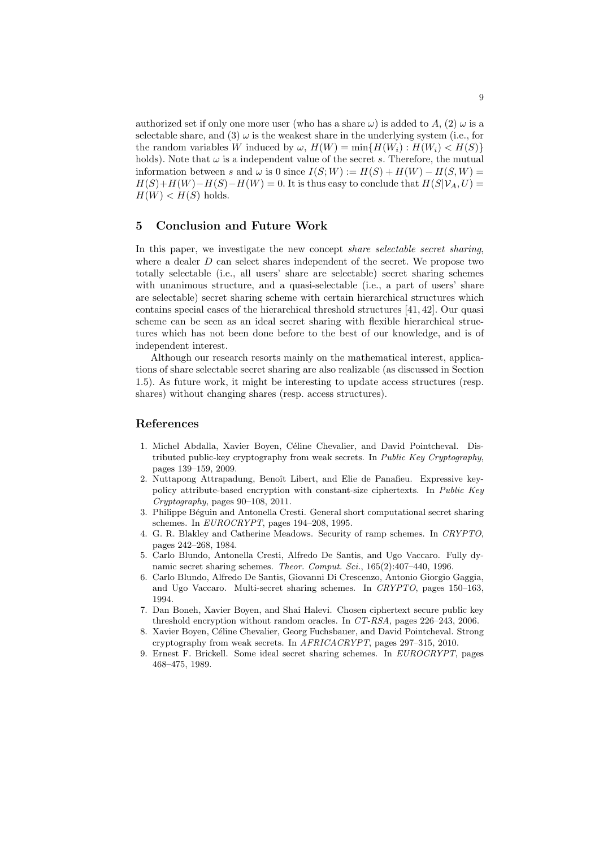authorized set if only one more user (who has a share  $\omega$ ) is added to A, (2)  $\omega$  is a selectable share, and  $(3)$   $\omega$  is the weakest share in the underlying system (i.e., for the random variables *W* induced by  $\omega$ ,  $H(W) = \min\{H(W_i) : H(W_i) < H(S)\}$ holds). Note that  $\omega$  is a independent value of the secret *s*. Therefore, the mutual information between *s* and  $\omega$  is 0 since  $I(S;W) := H(S) + H(W) - H(S,W) =$  $H(S) + H(W) - H(S) - H(W) = 0$ . It is thus easy to conclude that  $H(S|V_A, U) =$  $H(W) < H(S)$  holds.

# **5 Conclusion and Future Work**

In this paper, we investigate the new concept *share selectable secret sharing*, where a dealer *D* can select shares independent of the secret. We propose two totally selectable (i.e., all users' share are selectable) secret sharing schemes with unanimous structure, and a quasi-selectable (i.e., a part of users' share are selectable) secret sharing scheme with certain hierarchical structures which contains special cases of the hierarchical threshold structures [41, 42]. Our quasi scheme can be seen as an ideal secret sharing with flexible hierarchical structures which has not been done before to the best of our knowledge, and is of independent interest.

Although our research resorts mainly on the mathematical interest, applications of share selectable secret sharing are also realizable (as discussed in Section 1.5). As future work, it might be interesting to update access structures (resp. shares) without changing shares (resp. access structures).

# **References**

- 1. Michel Abdalla, Xavier Boyen, Céline Chevalier, and David Pointcheval. Distributed public-key cryptography from weak secrets. In *Public Key Cryptography*, pages 139–159, 2009.
- 2. Nuttapong Attrapadung, Benoît Libert, and Elie de Panafieu. Expressive keypolicy attribute-based encryption with constant-size ciphertexts. In *Public Key Cryptography*, pages 90–108, 2011.
- 3. Philippe Béguin and Antonella Cresti. General short computational secret sharing schemes. In *EUROCRYPT*, pages 194–208, 1995.
- 4. G. R. Blakley and Catherine Meadows. Security of ramp schemes. In *CRYPTO*, pages 242–268, 1984.
- 5. Carlo Blundo, Antonella Cresti, Alfredo De Santis, and Ugo Vaccaro. Fully dynamic secret sharing schemes. *Theor. Comput. Sci.*, 165(2):407–440, 1996.
- 6. Carlo Blundo, Alfredo De Santis, Giovanni Di Crescenzo, Antonio Giorgio Gaggia, and Ugo Vaccaro. Multi-secret sharing schemes. In *CRYPTO*, pages 150–163, 1994.
- 7. Dan Boneh, Xavier Boyen, and Shai Halevi. Chosen ciphertext secure public key threshold encryption without random oracles. In *CT-RSA*, pages 226–243, 2006.
- 8. Xavier Boyen, Céline Chevalier, Georg Fuchsbauer, and David Pointcheval. Strong cryptography from weak secrets. In *AFRICACRYPT*, pages 297–315, 2010.
- 9. Ernest F. Brickell. Some ideal secret sharing schemes. In *EUROCRYPT*, pages 468–475, 1989.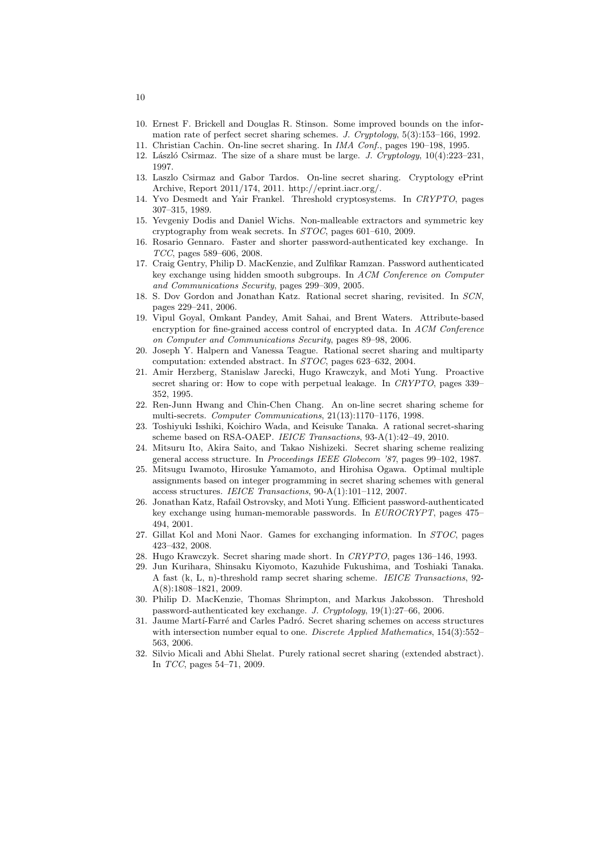- 10. Ernest F. Brickell and Douglas R. Stinson. Some improved bounds on the information rate of perfect secret sharing schemes. *J. Cryptology*, 5(3):153–166, 1992.
- 11. Christian Cachin. On-line secret sharing. In *IMA Conf.*, pages 190–198, 1995.
- 12. L´aszl´o Csirmaz. The size of a share must be large. *J. Cryptology*, 10(4):223–231, 1997.
- 13. Laszlo Csirmaz and Gabor Tardos. On-line secret sharing. Cryptology ePrint Archive, Report 2011/174, 2011. http://eprint.iacr.org/.
- 14. Yvo Desmedt and Yair Frankel. Threshold cryptosystems. In *CRYPTO*, pages 307–315, 1989.
- 15. Yevgeniy Dodis and Daniel Wichs. Non-malleable extractors and symmetric key cryptography from weak secrets. In *STOC*, pages 601–610, 2009.
- 16. Rosario Gennaro. Faster and shorter password-authenticated key exchange. In *TCC*, pages 589–606, 2008.
- 17. Craig Gentry, Philip D. MacKenzie, and Zulfikar Ramzan. Password authenticated key exchange using hidden smooth subgroups. In *ACM Conference on Computer and Communications Security*, pages 299–309, 2005.
- 18. S. Dov Gordon and Jonathan Katz. Rational secret sharing, revisited. In *SCN*, pages 229–241, 2006.
- 19. Vipul Goyal, Omkant Pandey, Amit Sahai, and Brent Waters. Attribute-based encryption for fine-grained access control of encrypted data. In *ACM Conference on Computer and Communications Security*, pages 89–98, 2006.
- 20. Joseph Y. Halpern and Vanessa Teague. Rational secret sharing and multiparty computation: extended abstract. In *STOC*, pages 623–632, 2004.
- 21. Amir Herzberg, Stanislaw Jarecki, Hugo Krawczyk, and Moti Yung. Proactive secret sharing or: How to cope with perpetual leakage. In *CRYPTO*, pages 339– 352, 1995.
- 22. Ren-Junn Hwang and Chin-Chen Chang. An on-line secret sharing scheme for multi-secrets. *Computer Communications*, 21(13):1170–1176, 1998.
- 23. Toshiyuki Isshiki, Koichiro Wada, and Keisuke Tanaka. A rational secret-sharing scheme based on RSA-OAEP. *IEICE Transactions*, 93-A(1):42–49, 2010.
- 24. Mitsuru Ito, Akira Saito, and Takao Nishizeki. Secret sharing scheme realizing general access structure. In *Proceedings IEEE Globecom '87*, pages 99–102, 1987.
- 25. Mitsugu Iwamoto, Hirosuke Yamamoto, and Hirohisa Ogawa. Optimal multiple assignments based on integer programming in secret sharing schemes with general access structures. *IEICE Transactions*, 90-A(1):101–112, 2007.
- 26. Jonathan Katz, Rafail Ostrovsky, and Moti Yung. Efficient password-authenticated key exchange using human-memorable passwords. In *EUROCRYPT*, pages 475– 494, 2001.
- 27. Gillat Kol and Moni Naor. Games for exchanging information. In *STOC*, pages 423–432, 2008.
- 28. Hugo Krawczyk. Secret sharing made short. In *CRYPTO*, pages 136–146, 1993.
- 29. Jun Kurihara, Shinsaku Kiyomoto, Kazuhide Fukushima, and Toshiaki Tanaka. A fast (k, L, n)-threshold ramp secret sharing scheme. *IEICE Transactions*, 92- A(8):1808–1821, 2009.
- 30. Philip D. MacKenzie, Thomas Shrimpton, and Markus Jakobsson. Threshold password-authenticated key exchange. *J. Cryptology*, 19(1):27–66, 2006.
- 31. Jaume Martí-Farré and Carles Padró. Secret sharing schemes on access structures with intersection number equal to one. *Discrete Applied Mathematics*, 154(3):552– 563, 2006.
- 32. Silvio Micali and Abhi Shelat. Purely rational secret sharing (extended abstract). In *TCC*, pages 54–71, 2009.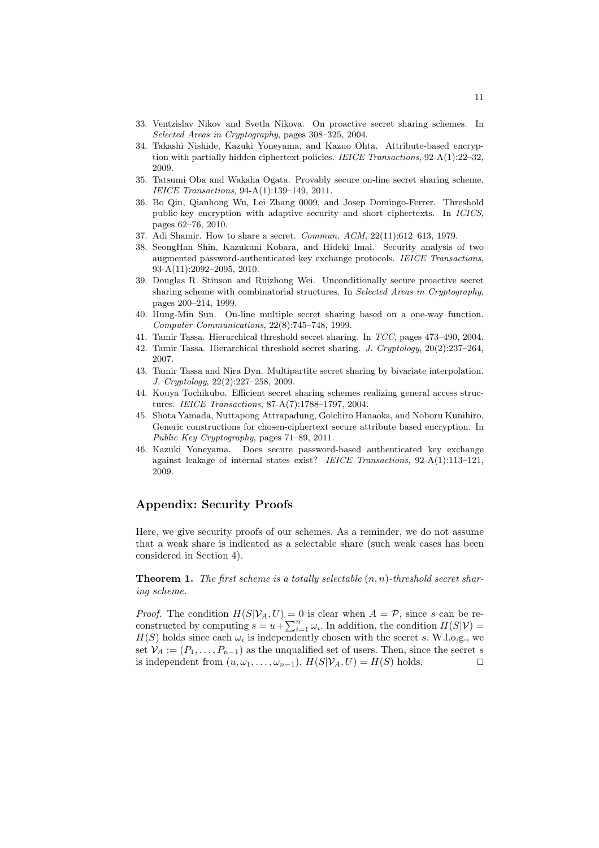- 33. Ventzislav Nikov and Svetla Nikova. On proactive secret sharing schemes. In *Selected Areas in Cryptography*, pages 308–325, 2004.
- 34. Takashi Nishide, Kazuki Yoneyama, and Kazuo Ohta. Attribute-based encryption with partially hidden ciphertext policies. *IEICE Transactions*, 92-A(1):22–32, 2009.
- 35. Tatsumi Oba and Wakaha Ogata. Provably secure on-line secret sharing scheme. *IEICE Transactions*, 94-A(1):139–149, 2011.
- 36. Bo Qin, Qianhong Wu, Lei Zhang 0009, and Josep Domingo-Ferrer. Threshold public-key encryption with adaptive security and short ciphertexts. In *ICICS*, pages 62–76, 2010.
- 37. Adi Shamir. How to share a secret. *Commun. ACM*, 22(11):612–613, 1979.
- 38. SeongHan Shin, Kazukuni Kobara, and Hideki Imai. Security analysis of two augmented password-authenticated key exchange protocols. *IEICE Transactions*, 93-A(11):2092–2095, 2010.
- 39. Douglas R. Stinson and Ruizhong Wei. Unconditionally secure proactive secret sharing scheme with combinatorial structures. In *Selected Areas in Cryptography*, pages 200–214, 1999.
- 40. Hung-Min Sun. On-line multiple secret sharing based on a one-way function. *Computer Communications*, 22(8):745–748, 1999.
- 41. Tamir Tassa. Hierarchical threshold secret sharing. In *TCC*, pages 473–490, 2004.
- 42. Tamir Tassa. Hierarchical threshold secret sharing. *J. Cryptology*, 20(2):237–264, 2007.
- 43. Tamir Tassa and Nira Dyn. Multipartite secret sharing by bivariate interpolation. *J. Cryptology*, 22(2):227–258, 2009.
- 44. Kouya Tochikubo. Efficient secret sharing schemes realizing general access structures. *IEICE Transactions*, 87-A(7):1788–1797, 2004.
- 45. Shota Yamada, Nuttapong Attrapadung, Goichiro Hanaoka, and Noboru Kunihiro. Generic constructions for chosen-ciphertext secure attribute based encryption. In *Public Key Cryptography*, pages 71–89, 2011.
- 46. Kazuki Yoneyama. Does secure password-based authenticated key exchange against leakage of internal states exist? *IEICE Transactions*, 92-A(1):113–121, 2009.

# **Appendix: Security Proofs**

Here, we give security proofs of our schemes. As a reminder, we do not assume that a weak share is indicated as a selectable share (such weak cases has been considered in Section 4).

**Theorem 1.** *The first scheme is a totally selectable* (*n, n*)*-threshold secret sharing scheme.*

*Proof.* The condition  $H(S|V_A, U) = 0$  is clear when  $A = P$ , since *s* can be reconstructed by computing  $s = u + \sum_{i=1}^{n} \omega_i$ . In addition, the condition  $H(S|V)$  $H(S)$  holds since each  $\omega_i$  is independently chosen with the secret *s*. W.l.o.g., we set  $V_A := (P_1, \ldots, P_{n-1})$  as the unqualified set of users. Then, since the secret *s* is independent from  $(u, \omega_1, \ldots, \omega_{n-1})$ ,  $H(S|V_A, U) = H(S)$  holds. is independent from  $(u, \omega_1, \ldots, \omega_{n-1}), H(S|V_A, U) = H(S)$  holds.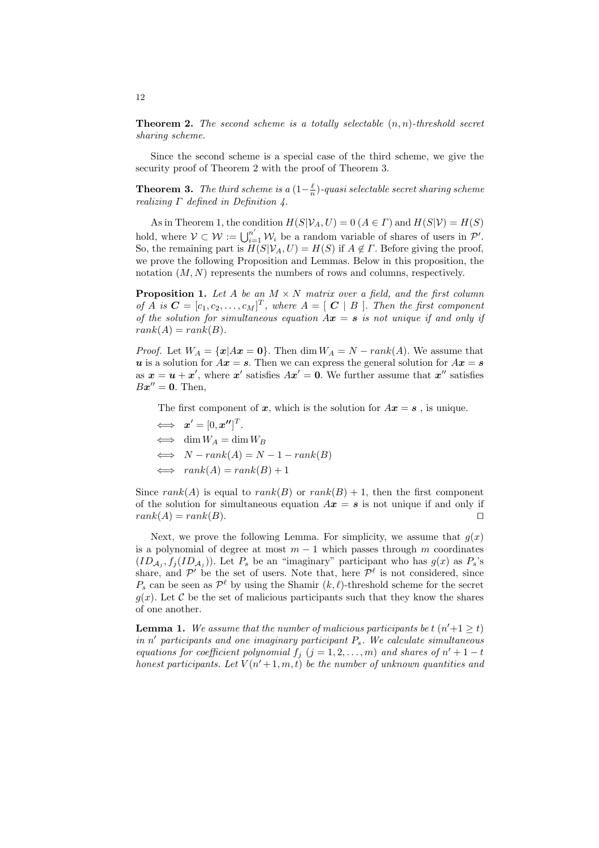**Theorem 2.** *The second scheme is a totally selectable* (*n, n*)*-threshold secret sharing scheme.*

Since the second scheme is a special case of the third scheme, we give the security proof of Theorem 2 with the proof of Theorem 3.

**Theorem 3.** *The third scheme is a*  $(1-\frac{\ell}{n})$ *-quasi selectable secret sharing scheme realizing Γ defined in Definition 4.*

As in Theorem 1, the condition  $H(S|V_A, U) = 0$  ( $A \in \Gamma$ ) and  $H(S|V) = H(S)$ hold, where  $V \subset W := \bigcup_{i=1}^{n'} W_i$  be a random variable of shares of users in  $\mathcal{P}'$ . So, the remaining part is  $H(S|V_A, U) = H(S)$  if  $A \notin \Gamma$ . Before giving the proof, we prove the following Proposition and Lemmas. Below in this proposition, the notation  $(M, N)$  represents the numbers of rows and columns, respectively.

**Proposition 1.** Let A be an  $M \times N$  matrix over a field, and the first column *of A is*  $C = [c_1, c_2, \ldots, c_M]^T$ , where  $A = [C \mid B]$ . Then the first component *of the solution for simultaneous equation*  $Ax = s$  *is not unique if and only if*  $rank(A) = rank(B)$ .

*Proof.* Let  $W_A = \{x | Ax = 0\}$ . Then dim  $W_A = N - rank(A)$ . We assume that *u* is a solution for  $Ax = s$ . Then we can express the general solution for  $Ax = s$ as  $x = u + x'$ , where  $x'$  satisfies  $Ax' = 0$ . We further assume that  $x''$  satisfies  $Bx'' = 0$ . Then,

The first component of  $x$ , which is the solution for  $Ax = s$ , is unique.

 $\iff x' = [0, x'']^T.$  $\iff$  dim  $W_A = \dim W_B$  $\iff N - rank(A) = N - 1 - rank(B)$  $\Leftrightarrow$   $rank(A) = rank(B) + 1$ 

Since  $rank(A)$  is equal to  $rank(B)$  or  $rank(B) + 1$ , then the first component of the solution for simultaneous equation  $Ax = s$  is not unique if and only if  $rank(A) = rank(B)$ . □

Next, we prove the following Lemma. For simplicity, we assume that  $g(x)$ is a polynomial of degree at most  $m-1$  which passes through  $m$  coordinates  $(ID_{\mathcal{A}_j}, f_j(ID_{\mathcal{A}_j}))$ . Let  $P_s$  be an "imaginary" participant who has  $g(x)$  as  $P_s$ 's share, and  $P'$  be the set of users. Note that, here  $P^{\ell}$  is not considered, since  $P_s$  can be seen as  $\mathcal{P}^{\ell}$  by using the Shamir  $(k, \ell)$ -threshold scheme for the secret  $g(x)$ . Let C be the set of malicious participants such that they know the shares of one another.

**Lemma 1.** We assume that the number of malicious participants be  $t(n'+1 \geq t)$ *in n ′ participants and one imaginary participant Ps. We calculate simultaneous equations for coefficient polynomial*  $f_j$  ( $j = 1, 2, \ldots, m$ ) *and shares of*  $n' + 1 - t$ *honest participants. Let*  $V(n'+1, m, t)$  *be the number of unknown quantities and*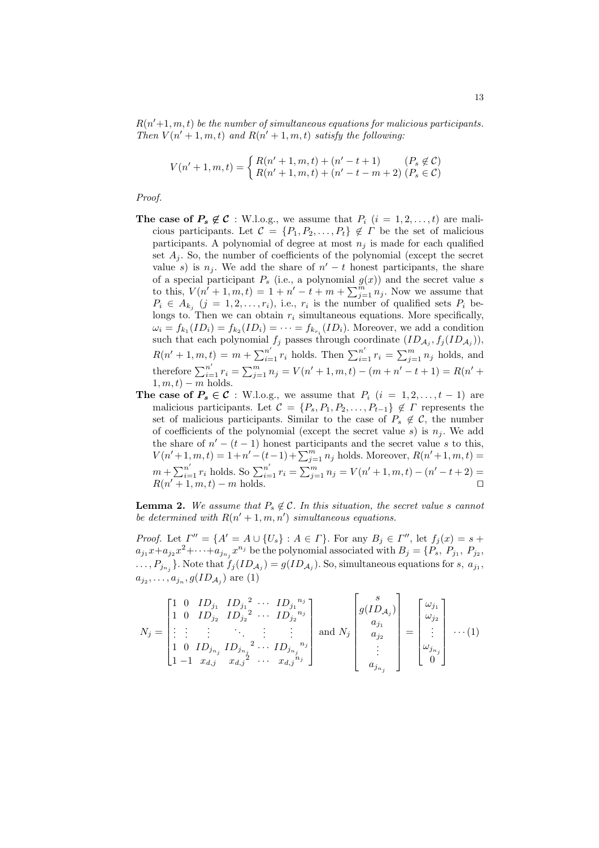$R(n'+1, m, t)$  *be the number of simultaneous equations for malicious participants. Then*  $V(n'+1, m, t)$  *and*  $R(n'+1, m, t)$  *satisfy the following:* 

$$
V(n'+1,m,t) = \begin{cases} R(n'+1,m,t) + (n'-t+1) & (P_s \notin \mathcal{C})\\ R(n'+1,m,t) + (n'-t-m+2) & (P_s \in \mathcal{C}) \end{cases}
$$

*Proof.*

- **The case of**  $P_s \not\in \mathcal{C}$  : W.l.o.g., we assume that  $P_i$   $(i = 1, 2, \ldots, t)$  are malicious participants. Let  $C = \{P_1, P_2, \ldots, P_t\} \notin \Gamma$  be the set of malicious participants. A polynomial of degree at most  $n_j$  is made for each qualified set  $A_i$ . So, the number of coefficients of the polynomial (except the secret value *s*) is  $n_j$ . We add the share of  $n' - t$  honest participants, the share of a special participant  $P_s$  (i.e., a polynomial  $g(x)$ ) and the secret value *s* to this,  $V(n^{\prime} + 1, m, t) = 1 + n^{\prime} - t + m + \sum_{j=1}^{m} n_j$ . Now we assume that  $P_i \in A_{k_j}$  (*j* = 1, 2, ..., *r<sub>i</sub>*), i.e., *r<sub>i</sub>* is the number of qualified sets  $P_i$  belongs to. Then we can obtain  $r_i$  simultaneous equations. More specifically,  $\omega_i = f_{k_1}(ID_i) = f_{k_2}(ID_i) = \cdots = f_{k_{r_i}}(ID_i)$ . Moreover, we add a condition such that each polynomial  $f_j$  passes through coordinate  $(ID_{\mathcal{A}_j}, f_j(ID_{\mathcal{A}_j})$ ,  $R(n' + 1, m, t) = m + \sum_{i=1}^{n'} r_i$  holds. Then  $\sum_{i=1}^{n'} r_i = \sum_{j=1}^{m} n_j$  holds, and therefore  $\sum_{i=1}^{n'} r_i = \sum_{j=1}^{m} n_j = V(n'+1, m, t) - (m + n' - t + 1) = R(n' + t)$ 1*, m, t*) *− m* holds.
- **The case of**  $P_s \in \mathcal{C}$  : W.l.o.g., we assume that  $P_i$  ( $i = 1, 2, \ldots, t 1$ ) are malicious participants. Let  $C = \{P_s, P_1, P_2, \ldots, P_{t-1}\} \notin \Gamma$  represents the set of malicious participants. Similar to the case of  $P_s \notin \mathcal{C}$ , the number of coefficients of the polynomial (except the secret value *s*) is  $n_j$ . We add the share of  $n' - (t - 1)$  honest participants and the secret value *s* to this,  $V(n'+1, m, t) = 1+n' - (t-1)+\sum_{j=1}^{m} n_j$  holds. Moreover,  $R(n'+1, m, t) =$  $m + \sum_{i=1}^{n'} r_i$  holds. So  $\sum_{i=1}^{n'} r_i = \sum_{j=1}^{m} n_j = V(n'+1, m, t) - (n'-t+2) =$  $R(n' + 1, m, t) - m$  holds.  $□$

**Lemma 2.** We assume that  $P_s \notin \mathcal{C}$ . In this situation, the secret value *s* cannot *be determined with*  $R(n'+1,m,n')$  *simultaneous equations.* 

*Proof.* Let  $\Gamma'' = \{A' = A \cup \{U_s\} : A \in \Gamma\}$ . For any  $B_j \in \Gamma''$ , let  $f_j(x) = s +$  $a_{j_1}x + a_{j_2}x^2 + \cdots + a_{j_{n_j}}x^{n_j}$  be the polynomial associated with  $B_j = \{P_s, P_{j_1}, P_{j_2}, P_{j_3}, P_{j_4}, P_{j_5}, P_{j_6}, P_{j_7}, P_{j_8}, P_{j_9}, P_{j_10}\}$  $\dots$ ,  $P_{j_{n_j}}$ . Note that  $f_j(ID_{\mathcal{A}_j}) = g(ID_{\mathcal{A}_j})$ . So, simultaneous equations for *s*,  $a_{j_1}$ ,  $a_{j_2}, \ldots, a_{j_n}, g(ID_{\mathcal{A}_j})$  are (1)

$$
N_{j} = \begin{bmatrix} 1 & 0 & ID_{j_{1}} & ID_{j_{1}}^{2} & \cdots & ID_{j_{1}}^{n_{j}} \\ 1 & 0 & ID_{j_{2}} & ID_{j_{2}}^{2} & \cdots & ID_{j_{2}}^{n_{j}} \\ \vdots & \vdots & \vdots & \ddots & \vdots & \vdots \\ 1 & 0 & ID_{j_{n_{j}}} & ID_{j_{n_{j}}}^{2} & \cdots & ID_{j_{n_{j}}}^{n_{j}} \\ 1 & -1 & x_{d,j} & x_{d,j}^{2} & \cdots & x_{d,j}^{n_{j}} \end{bmatrix} \text{ and } N_{j} \begin{bmatrix} s \\ g(ID_{\mathcal{A}_{j}}) \\ a_{j_{1}} \\ \vdots \\ a_{j_{n}} \end{bmatrix} = \begin{bmatrix} \omega_{j_{1}} \\ \omega_{j_{1}} \\ \vdots \\ \omega_{j_{n_{j}}} \\ 0 \end{bmatrix} \cdots (1)
$$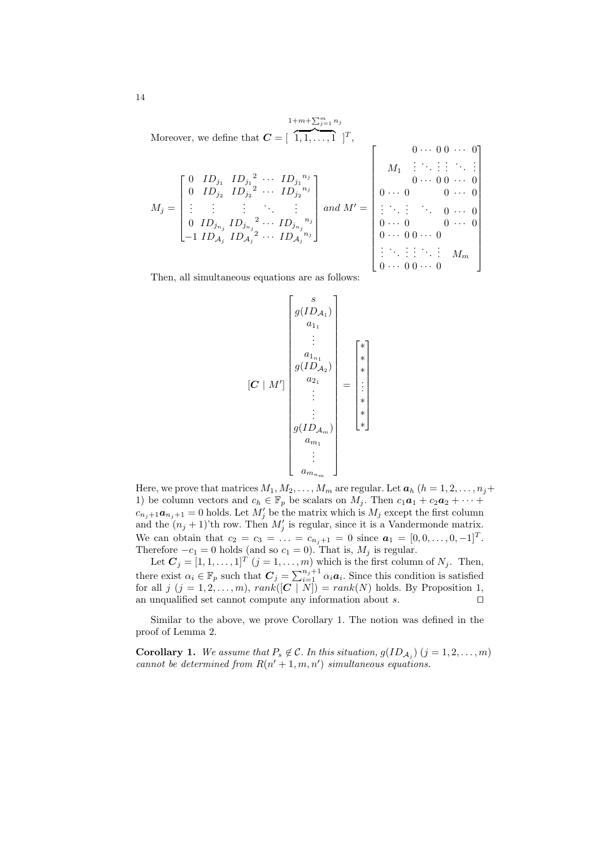Moreover, we define that 
$$
\mathbf{C} = \begin{bmatrix} 1+m + \sum_{j=1}^{m} n_j \\ 1, 1, ..., 1 \end{bmatrix}^T,
$$

$$
M_j = \begin{bmatrix} 0 & ID_{j_1} & ID_{j_1}^2 & \cdots & ID_{j_1}^{n_j} \\ 0 & ID_{j_2} & ID_{j_2}^2 & \cdots & ID_{j_2}^{n_j} \\ \vdots & \vdots & \vdots & \ddots & \vdots \\ 0 & ID_{j_{n_j}} & ID_{j_{n_j}}^2 & \cdots & ID_{j_{n_j}}^{n_j} \end{bmatrix} \text{ and } M' = \begin{bmatrix} 0 & \cdots & 0 & 0 & \cdots & 0 \\ M_1 & \vdots & \ddots & \vdots & \ddots & \vdots \\ 0 & \cdots & 0 & 0 & \cdots & 0 \\ \vdots & \ddots & \vdots & \ddots & 0 & \cdots & 0 \\ 0 & \cdots & 0 & & 0 & \cdots & 0 \\ \vdots & \ddots & \vdots & \ddots & \vdots & \ddots & 0 \\ 0 & \cdots & 0 & 0 & \cdots & 0 \\ \vdots & \ddots & \vdots & \ddots & \vdots & M_m \\ 0 & \cdots & 0 & 0 & \cdots & 0 \end{bmatrix}
$$

Then, all simultaneous equations are as follows:

$$
[\mathbf{C} \mid M'] \begin{bmatrix} s \\ g(ID_{\mathcal{A}_1}) \\ \vdots \\ g(ID_{\mathcal{A}_2}) \\ g(ID_{\mathcal{A}_2}) \\ \vdots \\ g(ID_{\mathcal{A}_m}) \\ \vdots \\ g(ID_{\mathcal{A}_m}) \\ \vdots \\ a_{m_1} \\ \vdots \\ a_{m_{n_m}} \end{bmatrix} = \begin{bmatrix} * \\ * \\ * \\ * \\ * \\ * \\ * \\ * \end{bmatrix}
$$

Here, we prove that matrices  $M_1, M_2, \ldots, M_m$  are regular. Let  $a_h$   $(h = 1, 2, \ldots, n_j +$ 1) be column vectors and  $c_h \in \mathbb{F}_p$  be scalars on  $M_j$ . Then  $c_1a_1 + c_2a_2 + \cdots$  $c_{n_j+1}a_{n_j+1} = 0$  holds. Let  $M'_j$  be the matrix which is  $M_j$  except the first column and the  $(n_j + 1)$ 'th row. Then  $M'_j$  is regular, since it is a Vandermonde matrix. We can obtain that  $c_2 = c_3 = \ldots = c_{n_j+1} = 0$  since  $a_1 = [0, 0, \ldots, 0, -1]^T$ . Therefore  $-c_1 = 0$  holds (and so  $c_1 = 0$ ). That is,  $M_j$  is regular.

Let  $\mathbf{C}_j = [1, 1, \dots, 1]^T$   $(j = 1, \dots, m)$  which is the first column of  $N_j$ . Then, there exist  $\alpha_i \in \mathbb{F}_p$  such that  $C_j = \sum_{i=1}^{n_j+1} \alpha_i \mathbf{a}_i$ . Since this condition is satisfied for all  $j$   $(j = 1, 2, ..., m)$ ,  $rank([C \mid N]) = rank(N)$  holds. By Proposition 1, an unqualified set cannot compute any information about *s*. *⊓⊔*

Similar to the above, we prove Corollary 1. The notion was defined in the proof of Lemma 2.

**Corollary 1.** We assume that  $P_s \notin \mathcal{C}$ . In this situation,  $g(ID_{\mathcal{A}_j})(j = 1, 2, ..., m)$ *cannot be determined from*  $R(n'+1,m,n')$  *simultaneous equations.*